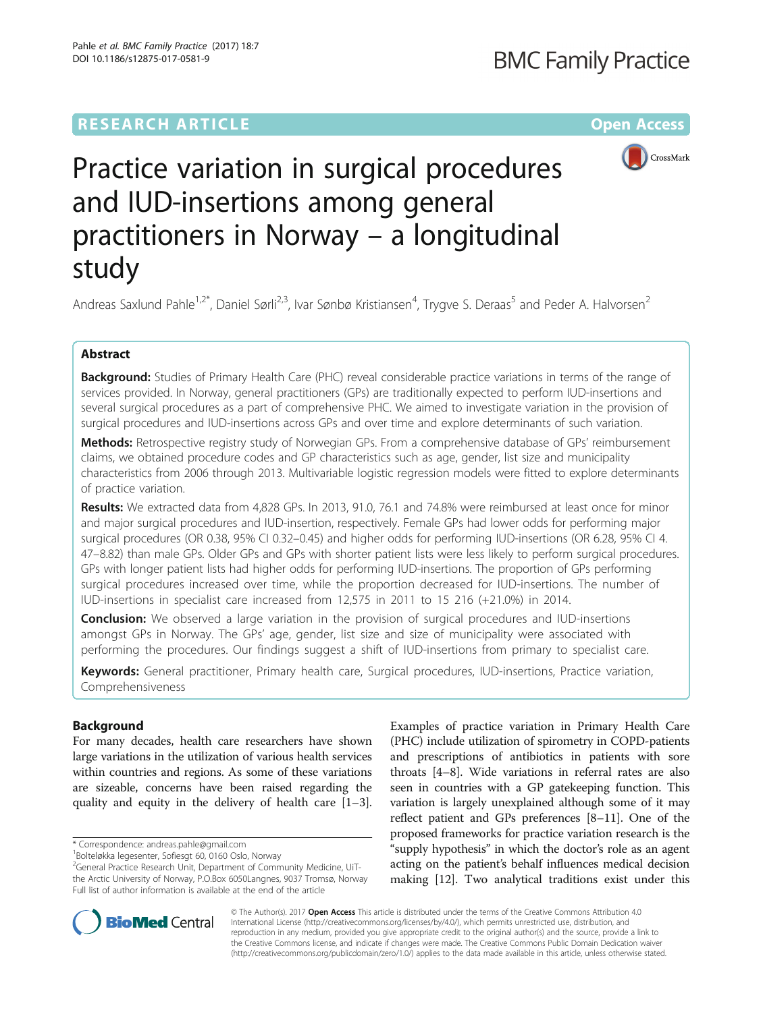

# Practice variation in surgical procedures and IUD-insertions among general practitioners in Norway – a longitudinal study

Andreas Saxlund Pahle<sup>1,2\*</sup>, Daniel Sørli<sup>2,3</sup>, Ivar Sønbø Kristiansen<sup>4</sup>, Trygve S. Deraas<sup>5</sup> and Peder A. Halvorsen<sup>2</sup>

# Abstract

Background: Studies of Primary Health Care (PHC) reveal considerable practice variations in terms of the range of services provided. In Norway, general practitioners (GPs) are traditionally expected to perform IUD-insertions and several surgical procedures as a part of comprehensive PHC. We aimed to investigate variation in the provision of surgical procedures and IUD-insertions across GPs and over time and explore determinants of such variation.

Methods: Retrospective registry study of Norwegian GPs. From a comprehensive database of GPs' reimbursement claims, we obtained procedure codes and GP characteristics such as age, gender, list size and municipality characteristics from 2006 through 2013. Multivariable logistic regression models were fitted to explore determinants of practice variation.

Results: We extracted data from 4,828 GPs. In 2013, 91.0, 76.1 and 74.8% were reimbursed at least once for minor and major surgical procedures and IUD-insertion, respectively. Female GPs had lower odds for performing major surgical procedures (OR 0.38, 95% CI 0.32–0.45) and higher odds for performing IUD-insertions (OR 6.28, 95% CI 4. 47–8.82) than male GPs. Older GPs and GPs with shorter patient lists were less likely to perform surgical procedures. GPs with longer patient lists had higher odds for performing IUD-insertions. The proportion of GPs performing surgical procedures increased over time, while the proportion decreased for IUD-insertions. The number of IUD-insertions in specialist care increased from 12,575 in 2011 to 15 216 (+21.0%) in 2014.

**Conclusion:** We observed a large variation in the provision of surgical procedures and IUD-insertions amongst GPs in Norway. The GPs' age, gender, list size and size of municipality were associated with performing the procedures. Our findings suggest a shift of IUD-insertions from primary to specialist care.

Keywords: General practitioner, Primary health care, Surgical procedures, IUD-insertions, Practice variation, Comprehensiveness

# Background

For many decades, health care researchers have shown large variations in the utilization of various health services within countries and regions. As some of these variations are sizeable, concerns have been raised regarding the quality and equity in the delivery of health care [[1](#page-5-0)–[3](#page-5-0)].

\* Correspondence: [andreas.pahle@gmail.com](mailto:andreas.pahle@gmail.com) <sup>1</sup>

Examples of practice variation in Primary Health Care (PHC) include utilization of spirometry in COPD-patients and prescriptions of antibiotics in patients with sore throats [[4](#page-5-0)–[8](#page-5-0)]. Wide variations in referral rates are also seen in countries with a GP gatekeeping function. This variation is largely unexplained although some of it may reflect patient and GPs preferences [\[8](#page-5-0)–[11](#page-6-0)]. One of the proposed frameworks for practice variation research is the "supply hypothesis" in which the doctor's role as an agent acting on the patient's behalf influences medical decision making [[12](#page-6-0)]. Two analytical traditions exist under this



© The Author(s). 2017 **Open Access** This article is distributed under the terms of the Creative Commons Attribution 4.0 International License [\(http://creativecommons.org/licenses/by/4.0/](http://creativecommons.org/licenses/by/4.0/)), which permits unrestricted use, distribution, and reproduction in any medium, provided you give appropriate credit to the original author(s) and the source, provide a link to the Creative Commons license, and indicate if changes were made. The Creative Commons Public Domain Dedication waiver [\(http://creativecommons.org/publicdomain/zero/1.0/](http://creativecommons.org/publicdomain/zero/1.0/)) applies to the data made available in this article, unless otherwise stated.

<sup>&</sup>lt;sup>1</sup>Bolteløkka legesenter, Sofiesgt 60, 0160 Oslo, Norway

<sup>&</sup>lt;sup>2</sup> General Practice Research Unit, Department of Community Medicine, UiTthe Arctic University of Norway, P.O.Box 6050Langnes, 9037 Tromsø, Norway Full list of author information is available at the end of the article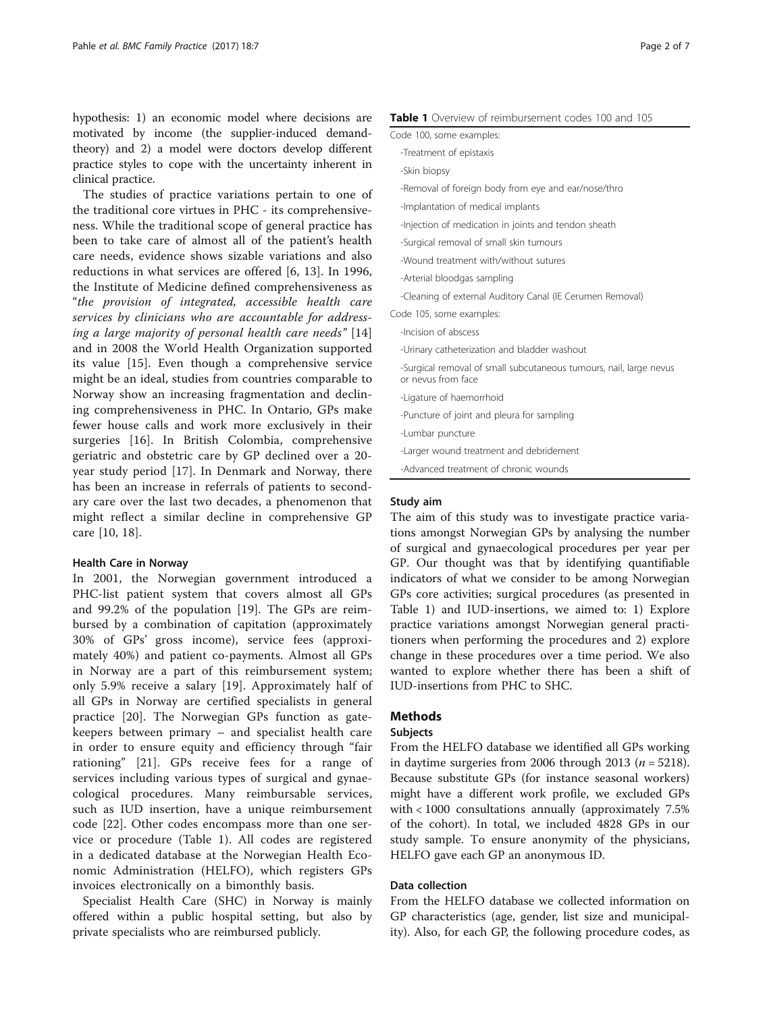<span id="page-1-0"></span>hypothesis: 1) an economic model where decisions are motivated by income (the supplier-induced demandtheory) and 2) a model were doctors develop different practice styles to cope with the uncertainty inherent in clinical practice.

The studies of practice variations pertain to one of the traditional core virtues in PHC - its comprehensiveness. While the traditional scope of general practice has been to take care of almost all of the patient's health care needs, evidence shows sizable variations and also reductions in what services are offered [[6,](#page-5-0) [13](#page-6-0)]. In 1996, the Institute of Medicine defined comprehensiveness as "the provision of integrated, accessible health care services by clinicians who are accountable for addressing a large majority of personal health care needs" [\[14](#page-6-0)] and in 2008 the World Health Organization supported its value [\[15](#page-6-0)]. Even though a comprehensive service might be an ideal, studies from countries comparable to Norway show an increasing fragmentation and declining comprehensiveness in PHC. In Ontario, GPs make fewer house calls and work more exclusively in their surgeries [\[16](#page-6-0)]. In British Colombia, comprehensive geriatric and obstetric care by GP declined over a 20 year study period [\[17](#page-6-0)]. In Denmark and Norway, there has been an increase in referrals of patients to secondary care over the last two decades, a phenomenon that might reflect a similar decline in comprehensive GP care [\[10](#page-6-0), [18](#page-6-0)].

## Health Care in Norway

In 2001, the Norwegian government introduced a PHC-list patient system that covers almost all GPs and 99.2% of the population [\[19](#page-6-0)]. The GPs are reimbursed by a combination of capitation (approximately 30% of GPs' gross income), service fees (approximately 40%) and patient co-payments. Almost all GPs in Norway are a part of this reimbursement system; only 5.9% receive a salary [\[19](#page-6-0)]. Approximately half of all GPs in Norway are certified specialists in general practice [[20\]](#page-6-0). The Norwegian GPs function as gatekeepers between primary – and specialist health care in order to ensure equity and efficiency through "fair rationing" [[21\]](#page-6-0). GPs receive fees for a range of services including various types of surgical and gynaecological procedures. Many reimbursable services, such as IUD insertion, have a unique reimbursement code [\[22](#page-6-0)]. Other codes encompass more than one service or procedure (Table 1). All codes are registered in a dedicated database at the Norwegian Health Economic Administration (HELFO), which registers GPs invoices electronically on a bimonthly basis.

Specialist Health Care (SHC) in Norway is mainly offered within a public hospital setting, but also by private specialists who are reimbursed publicly.

| Table 1 Overview of reimbursement codes 100 and 105 |  |
|-----------------------------------------------------|--|
|-----------------------------------------------------|--|

| Code 100, some examples:                                                                 |
|------------------------------------------------------------------------------------------|
| -Treatment of epistaxis                                                                  |
| -Skin biopsy                                                                             |
| -Removal of foreign body from eye and ear/nose/thro                                      |
| -Implantation of medical implants                                                        |
| -Injection of medication in joints and tendon sheath                                     |
| -Surgical removal of small skin tumours                                                  |
| -Wound treatment with/without sutures                                                    |
| -Arterial bloodgas sampling                                                              |
| -Cleaning of external Auditory Canal (IE Cerumen Removal)                                |
| Code 105, some examples:                                                                 |
| -Incision of abscess                                                                     |
| -Urinary catheterization and bladder washout                                             |
| -Surgical removal of small subcutaneous tumours, nail, large nevus<br>or nevus from face |
| -Ligature of haemorrhoid                                                                 |
| -Puncture of joint and pleura for sampling                                               |
| -Lumbar puncture                                                                         |
| -Larger wound treatment and debridement                                                  |
| -Advanced treatment of chronic wounds                                                    |
|                                                                                          |

### Study aim

The aim of this study was to investigate practice variations amongst Norwegian GPs by analysing the number of surgical and gynaecological procedures per year per GP. Our thought was that by identifying quantifiable indicators of what we consider to be among Norwegian GPs core activities; surgical procedures (as presented in Table 1) and IUD-insertions, we aimed to: 1) Explore practice variations amongst Norwegian general practitioners when performing the procedures and 2) explore change in these procedures over a time period. We also wanted to explore whether there has been a shift of IUD-insertions from PHC to SHC.

# Methods

#### Subjects

From the HELFO database we identified all GPs working in daytime surgeries from 2006 through 2013 ( $n = 5218$ ). Because substitute GPs (for instance seasonal workers) might have a different work profile, we excluded GPs with < 1000 consultations annually (approximately 7.5% of the cohort). In total, we included 4828 GPs in our study sample. To ensure anonymity of the physicians, HELFO gave each GP an anonymous ID.

## Data collection

From the HELFO database we collected information on GP characteristics (age, gender, list size and municipality). Also, for each GP, the following procedure codes, as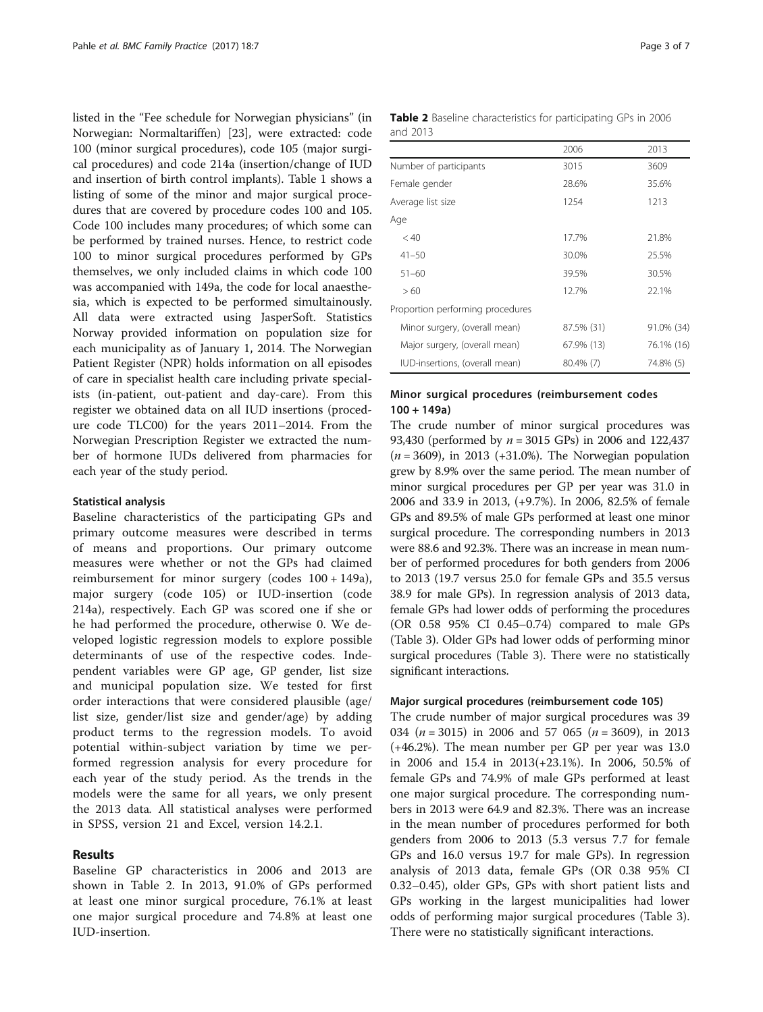listed in the "Fee schedule for Norwegian physicians" (in Norwegian: Normaltariffen) [\[23\]](#page-6-0), were extracted: code 100 (minor surgical procedures), code 105 (major surgical procedures) and code 214a (insertion/change of IUD and insertion of birth control implants). Table [1](#page-1-0) shows a listing of some of the minor and major surgical procedures that are covered by procedure codes 100 and 105. Code 100 includes many procedures; of which some can be performed by trained nurses. Hence, to restrict code 100 to minor surgical procedures performed by GPs themselves, we only included claims in which code 100 was accompanied with 149a, the code for local anaesthesia, which is expected to be performed simultainously. All data were extracted using JasperSoft. Statistics Norway provided information on population size for each municipality as of January 1, 2014. The Norwegian Patient Register (NPR) holds information on all episodes of care in specialist health care including private specialists (in-patient, out-patient and day-care). From this register we obtained data on all IUD insertions (procedure code TLC00) for the years 2011–2014. From the Norwegian Prescription Register we extracted the number of hormone IUDs delivered from pharmacies for each year of the study period.

#### Statistical analysis

Baseline characteristics of the participating GPs and primary outcome measures were described in terms of means and proportions. Our primary outcome measures were whether or not the GPs had claimed reimbursement for minor surgery (codes 100 + 149a), major surgery (code 105) or IUD-insertion (code 214a), respectively. Each GP was scored one if she or he had performed the procedure, otherwise 0. We developed logistic regression models to explore possible determinants of use of the respective codes. Independent variables were GP age, GP gender, list size and municipal population size. We tested for first order interactions that were considered plausible (age/ list size, gender/list size and gender/age) by adding product terms to the regression models. To avoid potential within-subject variation by time we performed regression analysis for every procedure for each year of the study period. As the trends in the models were the same for all years, we only present the 2013 data. All statistical analyses were performed in SPSS, version 21 and Excel, version 14.2.1.

# Results

Baseline GP characteristics in 2006 and 2013 are shown in Table 2. In 2013, 91.0% of GPs performed at least one minor surgical procedure, 76.1% at least one major surgical procedure and 74.8% at least one IUD-insertion.

|          | Table 2 Baseline characteristics for participating GPs in 2006 |  |  |
|----------|----------------------------------------------------------------|--|--|
| and 2013 |                                                                |  |  |

|                                  | 2006       | 2013       |
|----------------------------------|------------|------------|
| Number of participants           | 3015       | 3609       |
| Female gender                    | 28.6%      | 35.6%      |
| Average list size                | 1254       | 1213       |
| Age                              |            |            |
| < 40                             | 17.7%      | 21.8%      |
| $41 - 50$                        | 30.0%      | 25.5%      |
| $51 - 60$                        | 39.5%      | 30.5%      |
| >60                              | 12.7%      | 22.1%      |
| Proportion performing procedures |            |            |
| Minor surgery, (overall mean)    | 87.5% (31) | 91.0% (34) |
| Major surgery, (overall mean)    | 67.9% (13) | 76.1% (16) |
| IUD-insertions, (overall mean)   | 80.4% (7)  | 74.8% (5)  |

# Minor surgical procedures (reimbursement codes  $100 + 149a$

The crude number of minor surgical procedures was 93,430 (performed by  $n = 3015$  GPs) in 2006 and 122,437  $(n = 3609)$ , in 2013 (+31.0%). The Norwegian population grew by 8.9% over the same period. The mean number of minor surgical procedures per GP per year was 31.0 in 2006 and 33.9 in 2013, (+9.7%). In 2006, 82.5% of female GPs and 89.5% of male GPs performed at least one minor surgical procedure. The corresponding numbers in 2013 were 88.6 and 92.3%. There was an increase in mean number of performed procedures for both genders from 2006 to 2013 (19.7 versus 25.0 for female GPs and 35.5 versus 38.9 for male GPs). In regression analysis of 2013 data, female GPs had lower odds of performing the procedures (OR 0.58 95% CI 0.45–0.74) compared to male GPs (Table [3](#page-3-0)). Older GPs had lower odds of performing minor surgical procedures (Table [3](#page-3-0)). There were no statistically significant interactions.

#### Major surgical procedures (reimbursement code 105)

The crude number of major surgical procedures was 39 034 ( $n = 3015$ ) in 2006 and 57 065 ( $n = 3609$ ), in 2013 (+46.2%). The mean number per GP per year was 13.0 in 2006 and 15.4 in 2013(+23.1%). In 2006, 50.5% of female GPs and 74.9% of male GPs performed at least one major surgical procedure. The corresponding numbers in 2013 were 64.9 and 82.3%. There was an increase in the mean number of procedures performed for both genders from 2006 to 2013 (5.3 versus 7.7 for female GPs and 16.0 versus 19.7 for male GPs). In regression analysis of 2013 data, female GPs (OR 0.38 95% CI 0.32–0.45), older GPs, GPs with short patient lists and GPs working in the largest municipalities had lower odds of performing major surgical procedures (Table [3](#page-3-0)). There were no statistically significant interactions.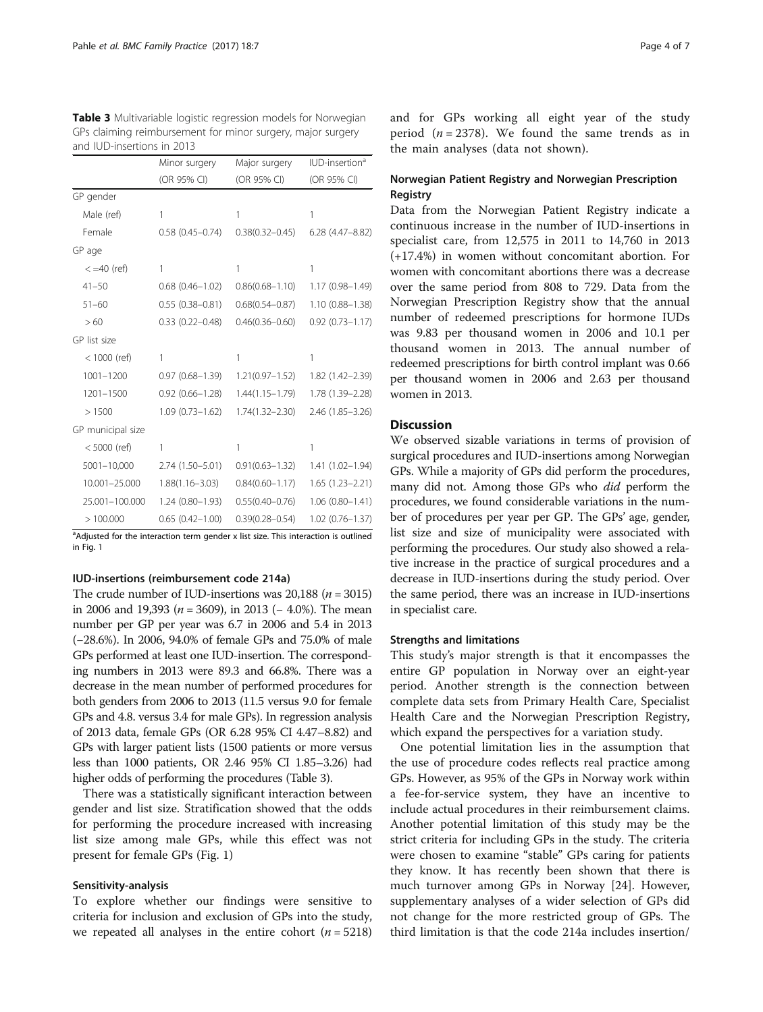|                      | Minor surgery          | Major surgery       | IUD-insertion <sup>a</sup> |
|----------------------|------------------------|---------------------|----------------------------|
|                      | (OR 95% CI)            | (OR 95% CI)         | (OR 95% CI)                |
| GP gender            |                        |                     |                            |
| Male (ref)           | 1                      | 1                   | 1                          |
| Female               | $0.58(0.45 - 0.74)$    | $0.38(0.32 - 0.45)$ | $6.28(4.47 - 8.82)$        |
| GP age               |                        |                     |                            |
| $\epsilon$ =40 (ref) | 1                      | 1                   | 1                          |
| $41 - 50$            | $0.68$ $(0.46 - 1.02)$ | $0.86(0.68 - 1.10)$ | 1.17 (0.98-1.49)           |
| $51 - 60$            | $0.55(0.38 - 0.81)$    | $0.68(0.54 - 0.87)$ | $1.10(0.88 - 1.38)$        |
| >60                  | $0.33(0.22 - 0.48)$    | $0.46(0.36 - 0.60)$ | $0.92(0.73 - 1.17)$        |
| GP list size         |                        |                     |                            |
| $< 1000$ (ref)       | 1                      | 1                   | 1                          |
| $1001 - 1200$        | $0.97(0.68 - 1.39)$    | $1.21(0.97 - 1.52)$ | 1.82 (1.42-2.39)           |
| 1201-1500            | $0.92(0.66 - 1.28)$    | $1.44(1.15 - 1.79)$ | 1.78 (1.39-2.28)           |
| >1500                | $1.09(0.73 - 1.62)$    | $1.74(1.32 - 2.30)$ | 2.46 (1.85-3.26)           |
| GP municipal size    |                        |                     |                            |
| $< 5000$ (ref)       | 1                      | 1                   | 1                          |
| 5001-10,000          | 2.74 (1.50-5.01)       | $0.91(0.63 - 1.32)$ | $1.41(1.02 - 1.94)$        |
| 10.001-25.000        | $1.88(1.16 - 3.03)$    | $0.84(0.60 - 1.17)$ | $1.65(1.23 - 2.21)$        |
| 25.001-100.000       | $1.24(0.80 - 1.93)$    | $0.55(0.40 - 0.76)$ | $1.06(0.80 - 1.41)$        |
| >100.000             | $0.65$ $(0.42 - 1.00)$ | $0.39(0.28 - 0.54)$ | $1.02$ $(0.76 - 1.37)$     |

<span id="page-3-0"></span>Table 3 Multivariable logistic regression models for Norwegian GPs claiming reimbursement for minor surgery, major surgery and IUD-insertions in 2013

<sup>a</sup>Adjusted for the interaction term gender x list size. This interaction is outlined in Fig. [1](#page-4-0)

### IUD-insertions (reimbursement code 214a)

The crude number of IUD-insertions was  $20,188$  ( $n = 3015$ ) in 2006 and 19,393 ( $n = 3609$ ), in 2013 (– 4.0%). The mean number per GP per year was 6.7 in 2006 and 5.4 in 2013 (−28.6%). In 2006, 94.0% of female GPs and 75.0% of male GPs performed at least one IUD-insertion. The corresponding numbers in 2013 were 89.3 and 66.8%. There was a decrease in the mean number of performed procedures for both genders from 2006 to 2013 (11.5 versus 9.0 for female GPs and 4.8. versus 3.4 for male GPs). In regression analysis of 2013 data, female GPs (OR 6.28 95% CI 4.47–8.82) and GPs with larger patient lists (1500 patients or more versus less than 1000 patients, OR 2.46 95% CI 1.85–3.26) had higher odds of performing the procedures (Table 3).

There was a statistically significant interaction between gender and list size. Stratification showed that the odds for performing the procedure increased with increasing list size among male GPs, while this effect was not present for female GPs (Fig. [1\)](#page-4-0)

#### Sensitivity-analysis

To explore whether our findings were sensitive to criteria for inclusion and exclusion of GPs into the study, we repeated all analyses in the entire cohort  $(n = 5218)$  and for GPs working all eight year of the study period  $(n = 2378)$ . We found the same trends as in the main analyses (data not shown).

# Norwegian Patient Registry and Norwegian Prescription Registry

Data from the Norwegian Patient Registry indicate a continuous increase in the number of IUD-insertions in specialist care, from 12,575 in 2011 to 14,760 in 2013 (+17.4%) in women without concomitant abortion. For women with concomitant abortions there was a decrease over the same period from 808 to 729. Data from the Norwegian Prescription Registry show that the annual number of redeemed prescriptions for hormone IUDs was 9.83 per thousand women in 2006 and 10.1 per thousand women in 2013. The annual number of redeemed prescriptions for birth control implant was 0.66 per thousand women in 2006 and 2.63 per thousand women in 2013.

## **Discussion**

We observed sizable variations in terms of provision of surgical procedures and IUD-insertions among Norwegian GPs. While a majority of GPs did perform the procedures, many did not. Among those GPs who did perform the procedures, we found considerable variations in the number of procedures per year per GP. The GPs' age, gender, list size and size of municipality were associated with performing the procedures. Our study also showed a relative increase in the practice of surgical procedures and a decrease in IUD-insertions during the study period. Over the same period, there was an increase in IUD-insertions in specialist care.

## Strengths and limitations

This study's major strength is that it encompasses the entire GP population in Norway over an eight-year period. Another strength is the connection between complete data sets from Primary Health Care, Specialist Health Care and the Norwegian Prescription Registry, which expand the perspectives for a variation study.

One potential limitation lies in the assumption that the use of procedure codes reflects real practice among GPs. However, as 95% of the GPs in Norway work within a fee-for-service system, they have an incentive to include actual procedures in their reimbursement claims. Another potential limitation of this study may be the strict criteria for including GPs in the study. The criteria were chosen to examine "stable" GPs caring for patients they know. It has recently been shown that there is much turnover among GPs in Norway [\[24](#page-6-0)]. However, supplementary analyses of a wider selection of GPs did not change for the more restricted group of GPs. The third limitation is that the code 214a includes insertion/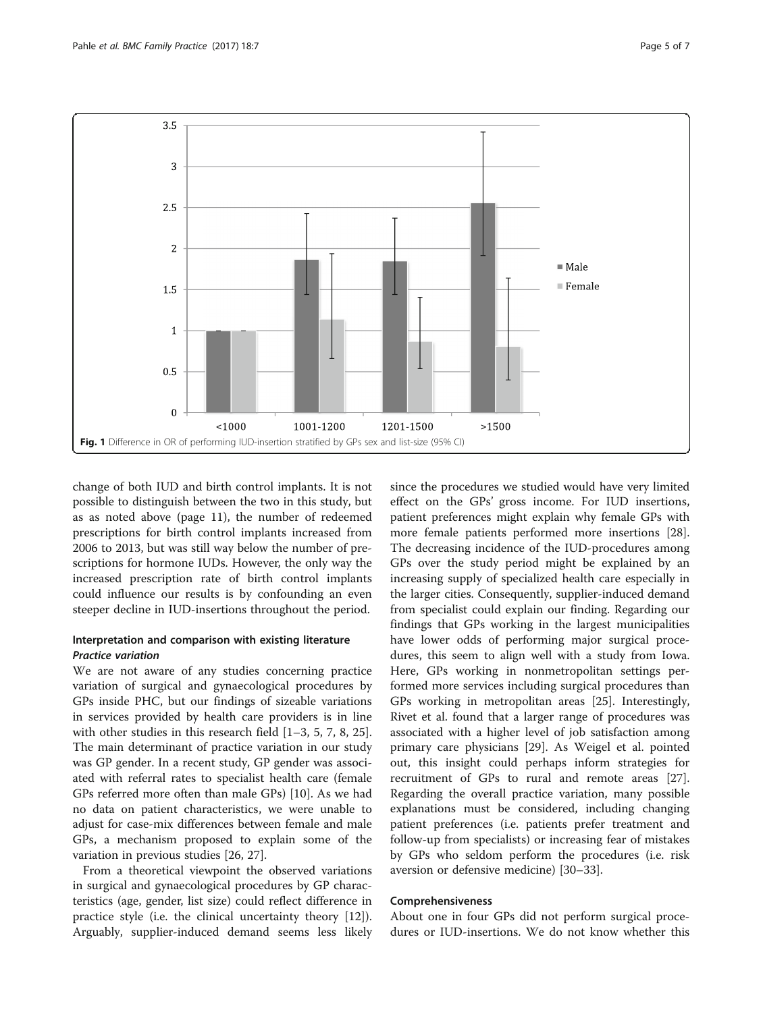<span id="page-4-0"></span>

change of both IUD and birth control implants. It is not possible to distinguish between the two in this study, but as as noted above (page 11), the number of redeemed prescriptions for birth control implants increased from 2006 to 2013, but was still way below the number of prescriptions for hormone IUDs. However, the only way the increased prescription rate of birth control implants could influence our results is by confounding an even steeper decline in IUD-insertions throughout the period.

# Interpretation and comparison with existing literature Practice variation

We are not aware of any studies concerning practice variation of surgical and gynaecological procedures by GPs inside PHC, but our findings of sizeable variations in services provided by health care providers is in line with other studies in this research field [[1](#page-5-0)–[3, 5, 7, 8](#page-5-0), [25](#page-6-0)]. The main determinant of practice variation in our study was GP gender. In a recent study, GP gender was associated with referral rates to specialist health care (female GPs referred more often than male GPs) [\[10](#page-6-0)]. As we had no data on patient characteristics, we were unable to adjust for case-mix differences between female and male GPs, a mechanism proposed to explain some of the variation in previous studies [\[26](#page-6-0), [27](#page-6-0)].

From a theoretical viewpoint the observed variations in surgical and gynaecological procedures by GP characteristics (age, gender, list size) could reflect difference in practice style (i.e. the clinical uncertainty theory [\[12](#page-6-0)]). Arguably, supplier-induced demand seems less likely since the procedures we studied would have very limited effect on the GPs' gross income. For IUD insertions, patient preferences might explain why female GPs with more female patients performed more insertions [\[28](#page-6-0)]. The decreasing incidence of the IUD-procedures among GPs over the study period might be explained by an increasing supply of specialized health care especially in the larger cities. Consequently, supplier-induced demand from specialist could explain our finding. Regarding our findings that GPs working in the largest municipalities have lower odds of performing major surgical procedures, this seem to align well with a study from Iowa. Here, GPs working in nonmetropolitan settings performed more services including surgical procedures than GPs working in metropolitan areas [\[25](#page-6-0)]. Interestingly, Rivet et al. found that a larger range of procedures was associated with a higher level of job satisfaction among primary care physicians [[29\]](#page-6-0). As Weigel et al. pointed out, this insight could perhaps inform strategies for recruitment of GPs to rural and remote areas [\[27](#page-6-0)]. Regarding the overall practice variation, many possible explanations must be considered, including changing patient preferences (i.e. patients prefer treatment and follow-up from specialists) or increasing fear of mistakes by GPs who seldom perform the procedures (i.e. risk aversion or defensive medicine) [[30](#page-6-0)–[33\]](#page-6-0).

#### Comprehensiveness

About one in four GPs did not perform surgical procedures or IUD-insertions. We do not know whether this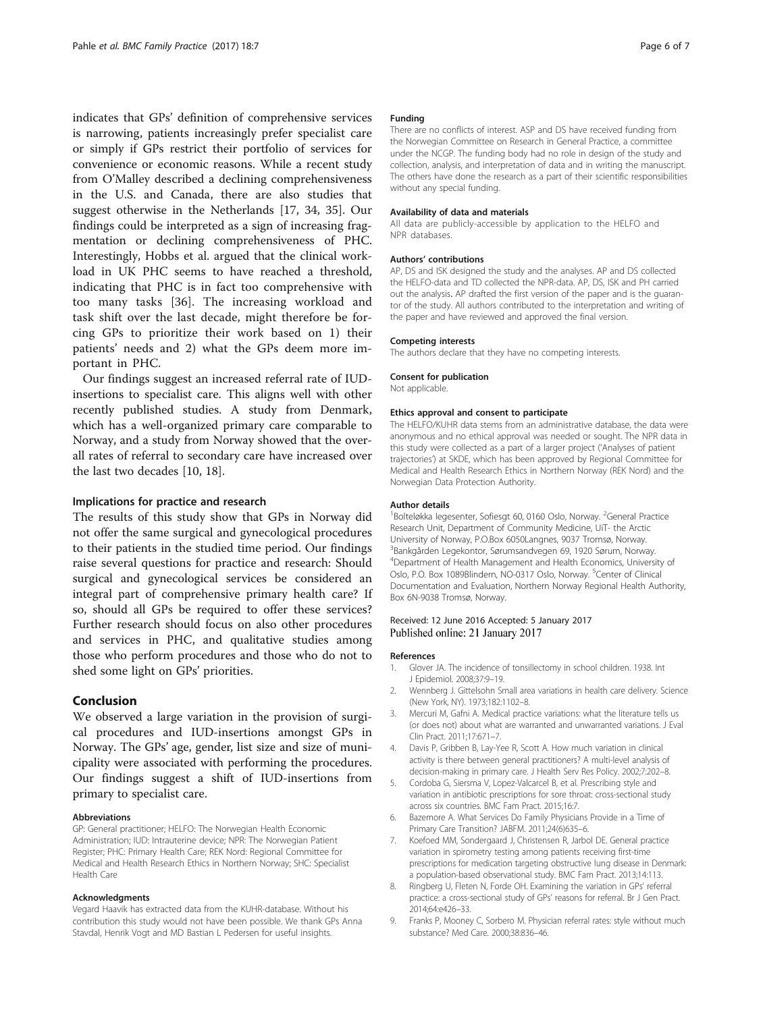<span id="page-5-0"></span>indicates that GPs' definition of comprehensive services is narrowing, patients increasingly prefer specialist care or simply if GPs restrict their portfolio of services for convenience or economic reasons. While a recent study from O'Malley described a declining comprehensiveness in the U.S. and Canada, there are also studies that suggest otherwise in the Netherlands [[17](#page-6-0), [34, 35](#page-6-0)]. Our findings could be interpreted as a sign of increasing fragmentation or declining comprehensiveness of PHC. Interestingly, Hobbs et al. argued that the clinical workload in UK PHC seems to have reached a threshold, indicating that PHC is in fact too comprehensive with too many tasks [[36\]](#page-6-0). The increasing workload and task shift over the last decade, might therefore be forcing GPs to prioritize their work based on 1) their patients' needs and 2) what the GPs deem more important in PHC.

Our findings suggest an increased referral rate of IUDinsertions to specialist care. This aligns well with other recently published studies. A study from Denmark, which has a well-organized primary care comparable to Norway, and a study from Norway showed that the overall rates of referral to secondary care have increased over the last two decades [[10](#page-6-0), [18](#page-6-0)].

# Implications for practice and research

The results of this study show that GPs in Norway did not offer the same surgical and gynecological procedures to their patients in the studied time period. Our findings raise several questions for practice and research: Should surgical and gynecological services be considered an integral part of comprehensive primary health care? If so, should all GPs be required to offer these services? Further research should focus on also other procedures and services in PHC, and qualitative studies among those who perform procedures and those who do not to shed some light on GPs' priorities.

#### Conclusion

We observed a large variation in the provision of surgical procedures and IUD-insertions amongst GPs in Norway. The GPs' age, gender, list size and size of municipality were associated with performing the procedures. Our findings suggest a shift of IUD-insertions from primary to specialist care.

#### Abbreviations

GP: General practitioner; HELFO: The Norwegian Health Economic Administration; IUD: Intrauterine device; NPR: The Norwegian Patient Register; PHC: Primary Health Care; REK Nord: Regional Committee for Medical and Health Research Ethics in Northern Norway; SHC: Specialist Health Care

#### Acknowledgments

Vegard Haavik has extracted data from the KUHR-database. Without his contribution this study would not have been possible. We thank GPs Anna Stavdal, Henrik Vogt and MD Bastian L Pedersen for useful insights.

#### Funding

There are no conflicts of interest. ASP and DS have received funding from the Norwegian Committee on Research in General Practice, a committee under the NCGP. The funding body had no role in design of the study and collection, analysis, and interpretation of data and in writing the manuscript. The others have done the research as a part of their scientific responsibilities without any special funding.

#### Availability of data and materials

All data are publicly-accessible by application to the HELFO and NPR databases.

#### Authors' contributions

AP, DS and ISK designed the study and the analyses. AP and DS collected the HELFO-data and TD collected the NPR-data. AP, DS, ISK and PH carried out the analysis. AP drafted the first version of the paper and is the guarantor of the study. All authors contributed to the interpretation and writing of the paper and have reviewed and approved the final version.

#### Competing interests

The authors declare that they have no competing interests.

## Consent for publication

Not applicable.

#### Ethics approval and consent to participate

The HELFO/KUHR data stems from an administrative database, the data were anonymous and no ethical approval was needed or sought. The NPR data in this study were collected as a part of a larger project ('Analyses of patient trajectories') at SKDE, which has been approved by Regional Committee for Medical and Health Research Ethics in Northern Norway (REK Nord) and the Norwegian Data Protection Authority.

#### Author details

<sup>1</sup>Bolteløkka legesenter, Sofiesgt 60, 0160 Oslo, Norway. <sup>2</sup>General Practice Research Unit, Department of Community Medicine, UiT- the Arctic University of Norway, P.O.Box 6050Langnes, 9037 Tromsø, Norway. 3 Bankgården Legekontor, Sørumsandvegen 69, 1920 Sørum, Norway. 4 Department of Health Management and Health Economics, University of Oslo, P.O. Box 1089Blindern, NO-0317 Oslo, Norway. <sup>5</sup>Center of Clinical Documentation and Evaluation, Northern Norway Regional Health Authority, Box 6N-9038 Tromsø, Norway.

#### Received: 12 June 2016 Accepted: 5 January 2017 Published online: 21 January 2017

#### References

- 1. Glover JA. The incidence of tonsillectomy in school children. 1938. Int J Epidemiol. 2008;37:9–19.
- 2. Wennberg J. Gittelsohn Small area variations in health care delivery. Science (New York, NY). 1973;182:1102–8.
- 3. Mercuri M, Gafni A. Medical practice variations: what the literature tells us (or does not) about what are warranted and unwarranted variations. J Eval Clin Pract. 2011;17:671–7.
- 4. Davis P, Gribben B, Lay-Yee R, Scott A. How much variation in clinical activity is there between general practitioners? A multi-level analysis of decision-making in primary care. J Health Serv Res Policy. 2002;7:202–8.
- 5. Cordoba G, Siersma V, Lopez-Valcarcel B, et al. Prescribing style and variation in antibiotic prescriptions for sore throat: cross-sectional study across six countries. BMC Fam Pract. 2015;16:7.
- 6. Bazemore A. What Services Do Family Physicians Provide in a Time of Primary Care Transition? JABFM. 2011;24(6)635–6.
- 7. Koefoed MM, Sondergaard J, Christensen R, Jarbol DE. General practice variation in spirometry testing among patients receiving first-time prescriptions for medication targeting obstructive lung disease in Denmark: a population-based observational study. BMC Fam Pract. 2013;14:113.
- 8. Ringberg U, Fleten N, Forde OH. Examining the variation in GPs' referral practice: a cross-sectional study of GPs' reasons for referral. Br J Gen Pract. 2014;64:e426–33.
- 9. Franks P, Mooney C, Sorbero M. Physician referral rates: style without much substance? Med Care. 2000;38:836–46.